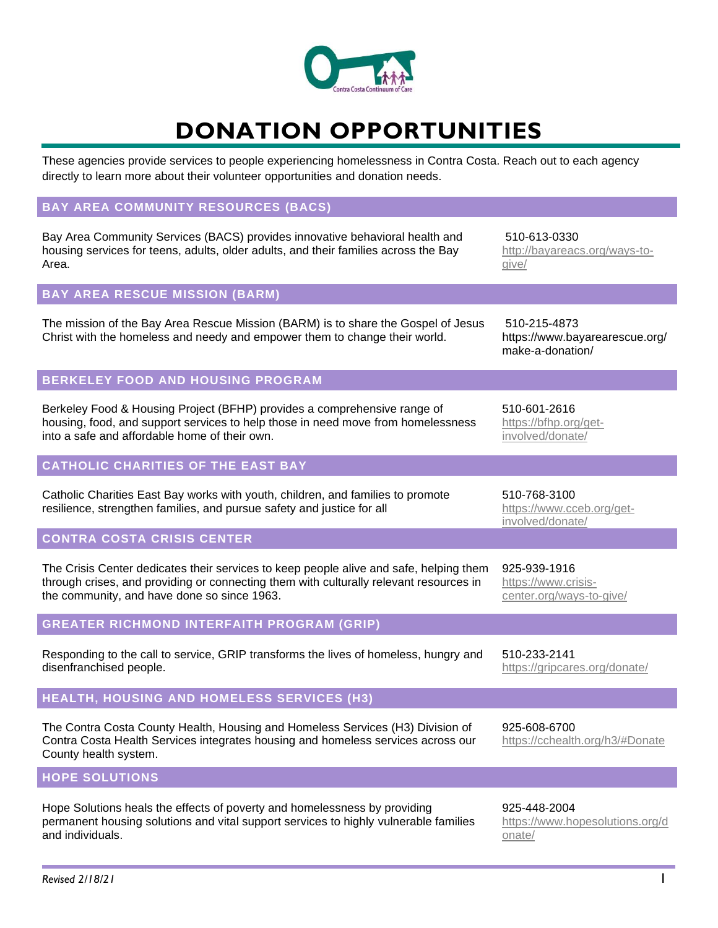

# **DONATION OPPORTUNITIES**

These agencies provide services to people experiencing homelessness in Contra Costa. Reach out to each agency directly to learn more about their volunteer opportunities and donation needs.

### **BAY AREA COMMUNITY RESOURCES (BACS)**

Bay Area Community Services (BACS) provides innovative behavioral health and housing services for teens, adults, older adults, and their families across the Bay Area.

#### **BAY AREA RESCUE MISSION (BARM)**

The mission of the Bay Area Rescue Mission (BARM) is to share the Gospel of Jesus Christ with the homeless and needy and empower them to change their world.

#### **BERKELEY FOOD AND HOUSING PROGRAM**

Berkeley Food & Housing Project (BFHP) provides a comprehensive range of housing, food, and support services to help those in need move from homelessness into a safe and affordable home of their own.

## **CATHOLIC CHARITIES OF THE EAST BAY**

Catholic Charities East Bay works with youth, children, and families to promote resilience, strengthen families, and pursue safety and justice for all

#### **CONTRA COSTA CRISIS CENTER**

The Crisis Center dedicates their services to keep people alive and safe, helping them through crises, and providing or connecting them with culturally relevant resources in the community, and have done so since 1963.

#### **GREATER RICHMOND INTERFAITH PROGRAM (GRIP)**

Responding to the call to service, GRIP transforms the lives of homeless, hungry and disenfranchised people.

#### **HEALTH, HOUSING AND HOMELESS SERVICES (H3)**

The Contra Costa County Health, Housing and Homeless Services (H3) Division of Contra Costa Health Services integrates housing and homeless services across our County health system.

#### **HOPE SOLUTIONS**

Hope Solutions heals the effects of poverty and homelessness by providing permanent housing solutions and vital support services to highly vulnerable families and individuals.

510-613-0330 [http://bayareacs.org/ways-to](http://bayareacs.org/ways-to-give/)[give/](http://bayareacs.org/ways-to-give/)

510-215-4873 https://www.bayarearescue.org/ make-a-donation/

510-601-2616 [https://bfhp.org/get](https://bfhp.org/get-involved/donate/)[involved/donate/](https://bfhp.org/get-involved/donate/)

510-768-3100 [https://www.cceb.org/get](https://www.cceb.org/get-involved/donate/)[involved/donate/](https://www.cceb.org/get-involved/donate/)

925-939-1916 [https://www.crisis](https://www.crisis-center.org/ways-to-give/)[center.org/ways-to-give/](https://www.crisis-center.org/ways-to-give/)

510-233-2141 <https://gripcares.org/donate/>

925-608-6700 <https://cchealth.org/h3/#Donate>

925-448-2004 [https://www.hopesolutions.org/d](https://www.hopesolutions.org/donate/) [onate/](https://www.hopesolutions.org/donate/)